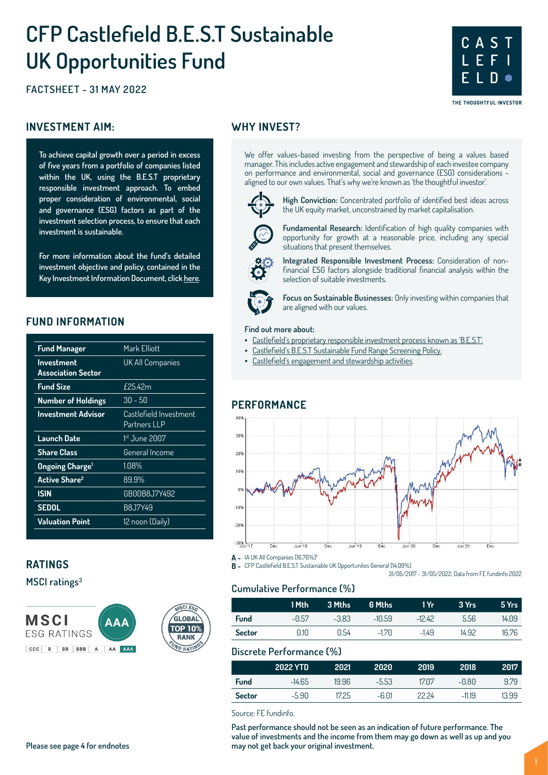# **CFP Castlefield B.E.S.T Sustainable UK Opportunities Fund**

**FACTSHEET - 31 MAY 2022**

#### **INVESTMENT AIM:** WHY INVEST?

**To achieve capital growth over a period in excess of five years from a portfolio of companies listed within the UK, using the B.E.S.T proprietary responsible investment approach. To embed proper consideration of environmental, social and governance (ESG) factors as part of the investment selection process, to ensure that each investment is sustainable.** 

**For more information about the fund's detailed investment objective and policy, contained in the Key Investment Information Document, click [here](https://www.conbriofunds.com/media/3yqguyl5/kiid-cfp-castlefield-b-e-s-t-sustainable-uk-opportunities-fund.pdf).**

#### **FUND INFORMATION**

| <b>Fund Manager</b>               | Mark Elliott                           |
|-----------------------------------|----------------------------------------|
| <b>Investment</b>                 | UK All Companies                       |
| <b>Association Sector</b>         |                                        |
| <b>Fund Size</b>                  | $f$ 25.42m                             |
| <b>Number of Holdings</b>         | $30 - 50$                              |
| <b>Investment Advisor</b>         | Castlefield Investment<br>Partners LLP |
| Launch Date                       | 1st June 2007                          |
| <b>Share Class</b>                | General Income                         |
| <b>Ongoing Charge<sup>1</sup></b> | $1.08\%$                               |
| <b>Active Share<sup>2</sup></b>   | 89.9%                                  |
| <b>ISIN</b>                       | GB00B8J7Y492                           |
| <b>SEDOL</b>                      | B8J7Y49                                |
| <b>Valuation Point</b>            | 12 noon (Daily)                        |
|                                   |                                        |

#### **RATINGS**

**MSCI ratings3**



We offer values-based investing from the perspective of being a values based manager. This includes active engagement and stewardship of each investee company on performance and environmental, social and governance (ESG) considerations aligned to our own values. That's why we're known as 'the thoughtful investor'.



**High Conviction:** Concentrated portfolio of identified best ideas across the UK equity market, unconstrained by market capitalisation.

**C A S T**

**L E F I**

THE THOUGHTFUL INVESTOR

**E L D**

**Fundamental Research:** Identification of high quality companies with opportunity for growth at a reasonable price, including any special situations that present themselves.



**Integrated Responsible Investment Process:** Consideration of nonfinancial ESG factors alongside traditional financial analysis within the selection of suitable investments.

**Focus on Sustainable Businesses:** Only investing within companies that are aligned with our values.

#### **Find out more about:**

- [Castlefield's proprietary responsible investment process known as 'B.E.S.T'.](https://www.castlefield.com/media/3632/cip-best-system.pdf)
	- [Castlefield's B.E.S.T Sustainable Fund Range Screening Policy](https://www.castlefield.com/media/3310/castlefield-best-sustainable-fund-range-screening-policy.pdf).
- [Castlefield's engagement and stewardship activities](https://www.castlefield.com/media/3672/castlefield-annual-stewardship-report-2020-2021.pdf).

#### **PERFORMANCE**



**A -** IA UK All Companies [16.76%]<sup>4</sup>

**B -** CFP Castlefield B.E.S.T Sustainable UK Opportunites General [14.09%] 31/05/2017 - 31/05/2022. Data from FE fundinfo 2022

**Cumulative Performance (%)**

|               | 1 Mth | 3 Mths  | 6 Mths   | 1 Yr     | 3 Yrs | 5 Yrs |
|---------------|-------|---------|----------|----------|-------|-------|
| <b>Fund</b>   | -0.57 | $-3.83$ | $-10.59$ | $-12.42$ | 5.56  | 14.09 |
| <b>Sector</b> | 0.10  | 0.54    | $-1.70$  | $-149$   | 14.92 | 16.76 |

#### **Discrete Performance (%)**

|               | 2022 YTD | 2021  | 2020    | 2019  | 2018     | 2017  |
|---------------|----------|-------|---------|-------|----------|-------|
| <b>Fund</b>   | $-14.65$ | 19.96 | $-5.53$ | 1707  | -0.80    | 979   |
| <b>Sector</b> | $-5.90$  | 1725  | -6.01   | 22 24 | $-11.19$ | 13.99 |

Source: FE fundinfo.

**Past performance should not be seen as an indication of future performance. The value of investments and the income from them may go down as well as up and you may not get back your original investment.**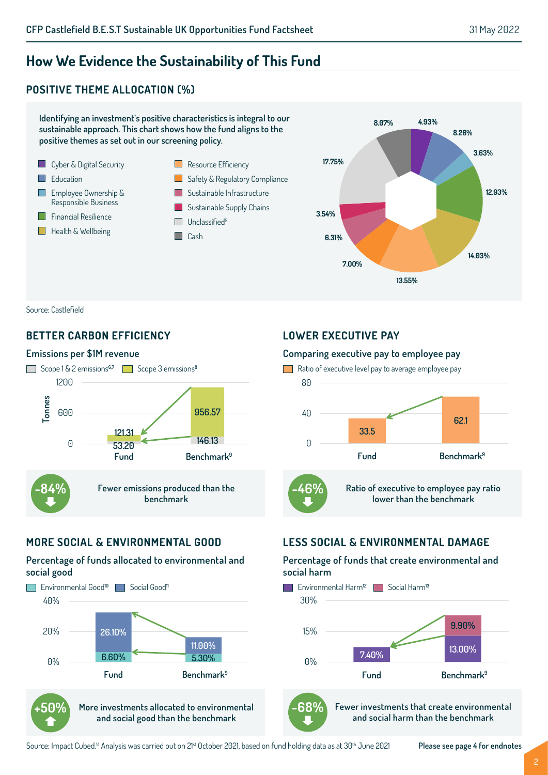**4.93%**

**8.26%**

**3.63%**

**14.03%**

**12.93%**

# **How We Evidence the Sustainability of This Fund**

# **POSITIVE THEME ALLOCATION (%)**



Source: Castlefield

### **BETTER CARBON EFFICIENCY**

#### **Emissions per \$1M revenue**



# **MORE SOCIAL & ENVIRONMENTAL GOOD**

#### **Percentage of funds allocated to environmental and social good**





**More investments allocated to environmental and social good than the benchmark**

#### **LOWER EXECUTIVE PAY**

#### **Comparing executive pay to employee pay**



# **LESS SOCIAL & ENVIRONMENTAL DAMAGE**

#### **Percentage of funds that create environmental and social harm**





**Fewer investments that create environmental and social harm than the benchmark**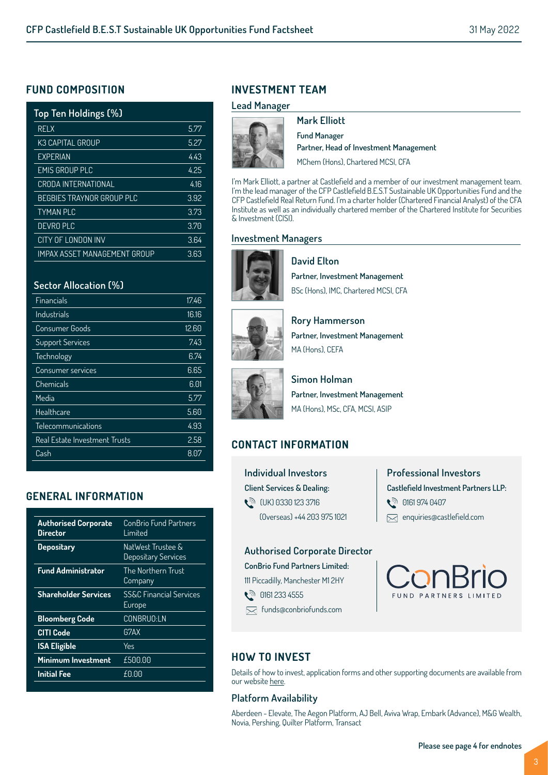### **FUND COMPOSITION**

| Top Ten Holdings (%)             |      |
|----------------------------------|------|
| <b>RELX</b>                      | 5.77 |
| K3 CAPITAL GROUP                 | 5.27 |
| <b>EXPERIAN</b>                  | 443  |
| <b>EMIS GROUP PLC</b>            | 4.25 |
| CRODA INTERNATIONAL              | 416  |
| <b>BEGBIES TRAYNOR GROUP PLC</b> | 3.92 |
| <b>TYMAN PLC</b>                 | 3.73 |
| DEVRO PLC                        | 3.70 |
| CITY OF LONDON INV               | 3.64 |
| IMPAX ASSFT MANAGFMFNT GROUP     | 3.63 |

#### **Sector Allocation (%)**

| Financials                    | 17.46 |
|-------------------------------|-------|
| Industrials                   | 16.16 |
| Consumer Goods                | 12.60 |
| <b>Support Services</b>       | 7.43  |
| Technology                    | 6.74  |
| Consumer services             | 6.65  |
| Chemicals                     | 6.01  |
| Media                         | 5.77  |
| Healthcare                    | 5.60  |
| Telecommunications            | 4.93  |
| Real Estate Investment Trusts | 2.58  |
| Cash                          | 8.07  |

# **GENERAL INFORMATION**

| <b>Authorised Corporate</b><br>Director | ConBrio Fund Partners<br>Limited             |
|-----------------------------------------|----------------------------------------------|
| <b>Depositary</b>                       | NatWest Trustee &<br>Depositary Services     |
| <b>Fund Administrator</b>               | The Northern Trust<br>Company                |
| <b>Shareholder Services</b>             | <b>SS&amp;C Financial Services</b><br>Europe |
| <b>Bloomberg Code</b>                   | <b>CONBRUO:LN</b>                            |
| <b>CITI Code</b>                        | G7AX                                         |
| <b>ISA Eligible</b>                     | Yes                                          |
| Minimum Investment                      | £500.00                                      |
| <b>Initial Fee</b>                      | £0.00                                        |
|                                         |                                              |

# **INVESTMENT TEAM**

#### **Lead Manager**



**Mark Elliott Fund Manager Partner, Head of Investment Management** MChem (Hons), Chartered MCSI, CFA

I'm Mark Elliott, a partner at Castlefield and a member of our investment management team. I'm the lead manager of the CFP Castlefield B.E.S.T Sustainable UK Opportunities Fund and the CFP Castlefield Real Return Fund. I'm a charter holder (Chartered Financial Analyst) of the CFA Institute as well as an individually chartered member of the Chartered Institute for Securities & Investment (CISI).

#### **Investment Managers**



**David Elton Partner, Investment Management** BSc (Hons), IMC, Chartered MCSI, CFA



**Rory Hammerson Partner, Investment Management** MA (Hons), CFFA



**Simon Holman Partner, Investment Management** MA (Hons), MSc, CFA, MCSI, ASIP

# **CONTACT INFORMATION**

**Individual Investors Client Services & Dealing:**  t<sup>∂</sup> (UK) 0330 123 3716 (Overseas) +44 203 975 1021 **Professional Investors Castlefield Investment Partners LLP: ्री 0161 974 0407** enquiries@castlefield.com

#### **Authorised Corporate Director**

#### **ConBrio Fund Partners Limited:**

111 Piccadilly, Manchester M1 2HY

- **े** 0161 233 4555
- funds@conbriofunds.com



# **HOW TO INVEST**

Details of how to invest, application forms and other supporting documents are available from our website [here.](https://www.conbriofunds.com/investment-managers/castlefield-investment-partners-llp-cip/)

#### **Platform Availability**

Aberdeen - Elevate, The Aegon Platform, AJ Bell, Aviva Wrap, Embark (Advance), M&G Wealth, Novia, Pershing, Quilter Platform, Transact